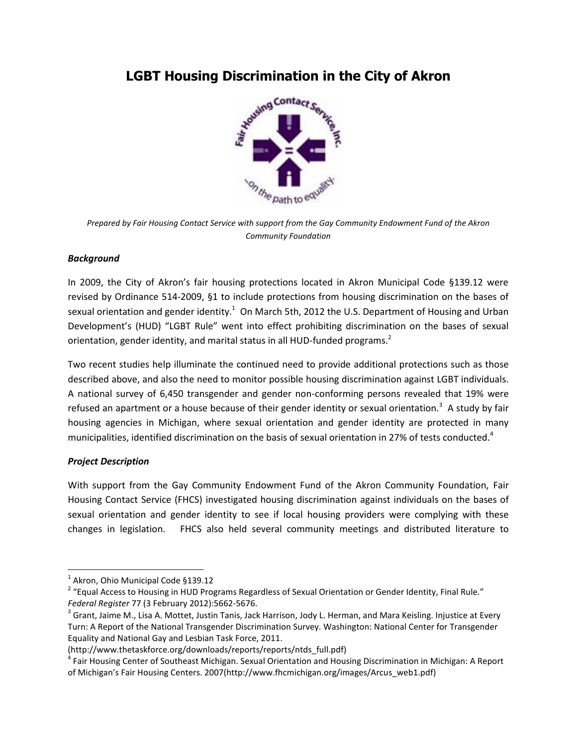# **LGBT Housing Discrimination in the City of Akron**



*Prepared by Fair Housing Contact Service with support from the Gay Community Endowment Fund of the Akron Community Foundation*

## *Background*

In 2009, the City of Akron's fair housing protections located in Akron Municipal Code §139.12 were revised by Ordinance 514-2009, §1 to include protections from housing discrimination on the bases of sexual orientation and gender identity.<sup>1</sup> On March 5th, 2012 the U.S. Department of Housing and Urban Development's (HUD) "LGBT Rule" went into effect prohibiting discrimination on the bases of sexual orientation, gender identity, and marital status in all HUD-funded programs.<sup>2</sup>

Two recent studies help illuminate the continued need to provide additional protections such as those described above, and also the need to monitor possible housing discrimination against LGBT individuals. A national survey of 6,450 transgender and gender non-conforming persons revealed that 19% were refused an apartment or a house because of their gender identity or sexual orientation.<sup>3</sup> A study by fair housing agencies in Michigan, where sexual orientation and gender identity are protected in many municipalities, identified discrimination on the basis of sexual orientation in 27% of tests conducted.<sup>4</sup>

## *Project Description*

With support from the Gay Community Endowment Fund of the Akron Community Foundation, Fair Housing Contact Service (FHCS) investigated housing discrimination against individuals on the bases of sexual orientation and gender identity to see if local housing providers were complying with these changes in legislation. FHCS also held several community meetings and distributed literature to

 1 Akron, Ohio Municipal Code §139.12

<sup>&</sup>lt;sup>2</sup> "Equal Access to Housing in HUD Programs Regardless of Sexual Orientation or Gender Identity, Final Rule." *Federal Register* 77 (3 February 2012):5662-5676.

 $^3$  Grant, Jaime M., Lisa A. Mottet, Justin Tanis, Jack Harrison, Jody L. Herman, and Mara Keisling. Injustice at Every Turn: A Report of the National Transgender Discrimination Survey. Washington: National Center for Transgender Equality and National Gay and Lesbian Task Force, 2011.

<sup>(</sup>http://www.thetaskforce.org/downloads/reports/reports/ntds\_full.pdf)

<sup>&</sup>lt;sup>4</sup> Fair Housing Center of Southeast Michigan. Sexual Orientation and Housing Discrimination in Michigan: A Report of Michigan's Fair Housing Centers. 2007(http://www.fhcmichigan.org/images/Arcus\_web1.pdf)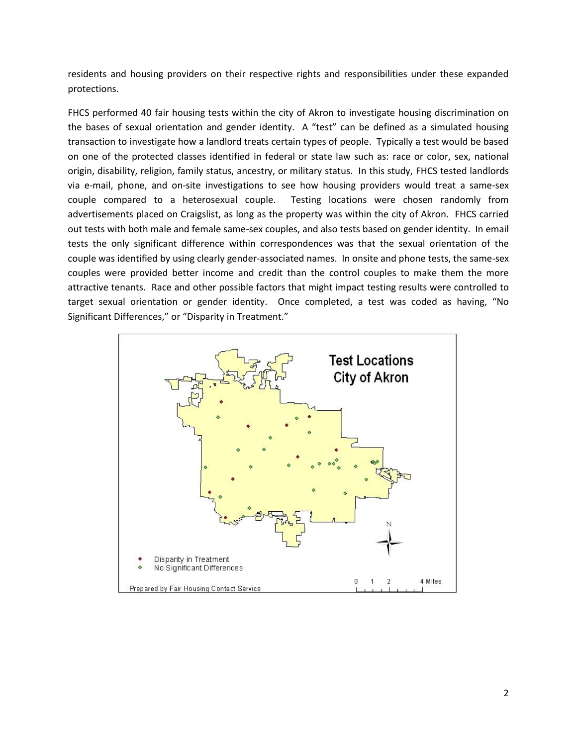residents and housing providers on their respective rights and responsibilities under these expanded protections.

FHCS performed 40 fair housing tests within the city of Akron to investigate housing discrimination on the bases of sexual orientation and gender identity. A "test" can be defined as a simulated housing transaction to investigate how a landlord treats certain types of people. Typically a test would be based on one of the protected classes identified in federal or state law such as: race or color, sex, national origin, disability, religion, family status, ancestry, or military status. In this study, FHCS tested landlords via e-mail, phone, and on-site investigations to see how housing providers would treat a same-sex couple compared to a heterosexual couple. Testing locations were chosen randomly from advertisements placed on Craigslist, as long as the property was within the city of Akron. FHCS carried out tests with both male and female same-sex couples, and also tests based on gender identity. In email tests the only significant difference within correspondences was that the sexual orientation of the couple was identified by using clearly gender-associated names. In onsite and phone tests, the same-sex couples were provided better income and credit than the control couples to make them the more attractive tenants. Race and other possible factors that might impact testing results were controlled to target sexual orientation or gender identity. Once completed, a test was coded as having, "No Significant Differences," or "Disparity in Treatment."

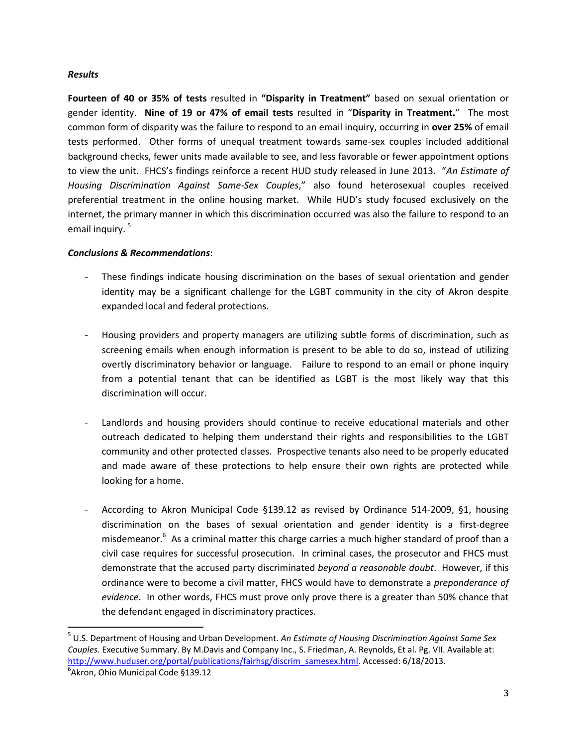#### *Results*

**Fourteen of 40 or 35% of tests** resulted in **"Disparity in Treatment"** based on sexual orientation or gender identity. **Nine of 19 or 47% of email tests** resulted in "**Disparity in Treatment.**" The most common form of disparity was the failure to respond to an email inquiry, occurring in **over 25%** of email tests performed. Other forms of unequal treatment towards same-sex couples included additional background checks, fewer units made available to see, and less favorable or fewer appointment options to view the unit. FHCS's findings reinforce a recent HUD study released in June 2013. "*An Estimate of Housing Discrimination Against Same-Sex Couples*," also found heterosexual couples received preferential treatment in the online housing market. While HUD's study focused exclusively on the internet, the primary manner in which this discrimination occurred was also the failure to respond to an email inquiry. 5

#### *Conclusions & Recommendations*:

- These findings indicate housing discrimination on the bases of sexual orientation and gender identity may be a significant challenge for the LGBT community in the city of Akron despite expanded local and federal protections.
- Housing providers and property managers are utilizing subtle forms of discrimination, such as screening emails when enough information is present to be able to do so, instead of utilizing overtly discriminatory behavior or language. Failure to respond to an email or phone inquiry from a potential tenant that can be identified as LGBT is the most likely way that this discrimination will occur.
- Landlords and housing providers should continue to receive educational materials and other outreach dedicated to helping them understand their rights and responsibilities to the LGBT community and other protected classes. Prospective tenants also need to be properly educated and made aware of these protections to help ensure their own rights are protected while looking for a home.
- According to Akron Municipal Code §139.12 as revised by Ordinance 514-2009, §1, housing discrimination on the bases of sexual orientation and gender identity is a first-degree misdemeanor.<sup>6</sup> As a criminal matter this charge carries a much higher standard of proof than a civil case requires for successful prosecution. In criminal cases, the prosecutor and FHCS must demonstrate that the accused party discriminated *beyond a reasonable doubt*. However, if this ordinance were to become a civil matter, FHCS would have to demonstrate a *preponderance of evidence*. In other words, FHCS must prove only prove there is a greater than 50% chance that the defendant engaged in discriminatory practices.

 $\overline{a}$ 

<sup>5</sup> U.S. Department of Housing and Urban Development. *An Estimate of Housing Discrimination Against Same Sex Couples.* Executive Summary. By M.Davis and Company Inc., S. Friedman, A. Reynolds, Et al. Pg. VII. Available at: [http://www.huduser.org/portal/publications/fairhsg/discrim\\_samesex.html.](http://www.huduser.org/portal/publications/fairhsg/discrim_samesex.html) Accessed: 6/18/2013.

<sup>6</sup> Akron, Ohio Municipal Code §139.12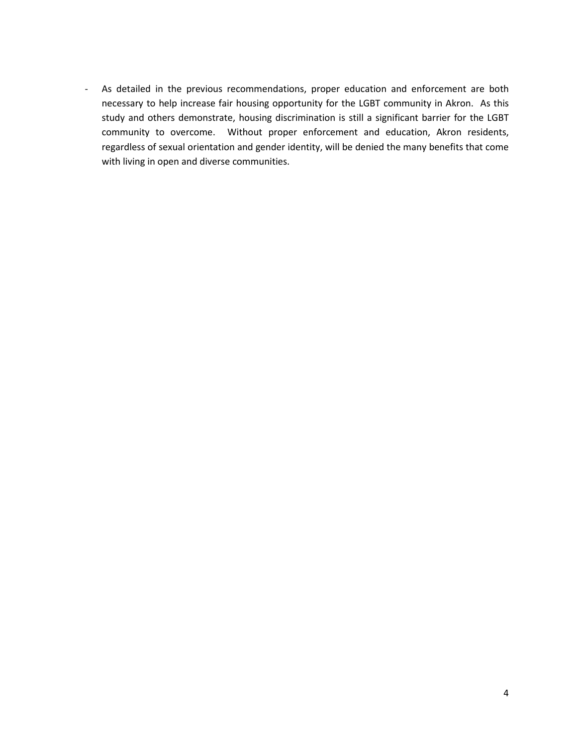- As detailed in the previous recommendations, proper education and enforcement are both necessary to help increase fair housing opportunity for the LGBT community in Akron. As this study and others demonstrate, housing discrimination is still a significant barrier for the LGBT community to overcome. Without proper enforcement and education, Akron residents, regardless of sexual orientation and gender identity, will be denied the many benefits that come with living in open and diverse communities.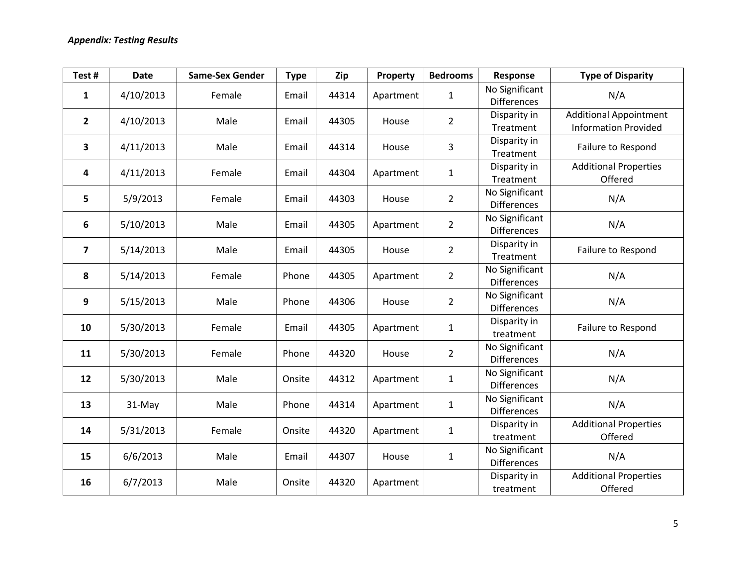| Test#                   | <b>Date</b> | <b>Same-Sex Gender</b> | <b>Type</b> | Zip   | Property  | <b>Bedrooms</b> | Response                             | <b>Type of Disparity</b>                                     |
|-------------------------|-------------|------------------------|-------------|-------|-----------|-----------------|--------------------------------------|--------------------------------------------------------------|
| $\mathbf{1}$            | 4/10/2013   | Female                 | Email       | 44314 | Apartment | $\mathbf{1}$    | No Significant<br><b>Differences</b> | N/A                                                          |
| $\mathbf{2}$            | 4/10/2013   | Male                   | Email       | 44305 | House     | $\overline{2}$  | Disparity in<br>Treatment            | <b>Additional Appointment</b><br><b>Information Provided</b> |
| 3                       | 4/11/2013   | Male                   | Email       | 44314 | House     | 3               | Disparity in<br>Treatment            | Failure to Respond                                           |
| 4                       | 4/11/2013   | Female                 | Email       | 44304 | Apartment | $\mathbf 1$     | Disparity in<br>Treatment            | <b>Additional Properties</b><br>Offered                      |
| 5                       | 5/9/2013    | Female                 | Email       | 44303 | House     | $\overline{2}$  | No Significant<br><b>Differences</b> | N/A                                                          |
| 6                       | 5/10/2013   | Male                   | Email       | 44305 | Apartment | $\overline{2}$  | No Significant<br><b>Differences</b> | N/A                                                          |
| $\overline{\mathbf{z}}$ | 5/14/2013   | Male                   | Email       | 44305 | House     | $\overline{2}$  | Disparity in<br>Treatment            | Failure to Respond                                           |
| 8                       | 5/14/2013   | Female                 | Phone       | 44305 | Apartment | $\overline{2}$  | No Significant<br><b>Differences</b> | N/A                                                          |
| 9                       | 5/15/2013   | Male                   | Phone       | 44306 | House     | $\overline{2}$  | No Significant<br><b>Differences</b> | N/A                                                          |
| 10                      | 5/30/2013   | Female                 | Email       | 44305 | Apartment | $\mathbf{1}$    | Disparity in<br>treatment            | Failure to Respond                                           |
| 11                      | 5/30/2013   | Female                 | Phone       | 44320 | House     | $\overline{2}$  | No Significant<br><b>Differences</b> | N/A                                                          |
| 12                      | 5/30/2013   | Male                   | Onsite      | 44312 | Apartment | $\mathbf 1$     | No Significant<br><b>Differences</b> | N/A                                                          |
| 13                      | 31-May      | Male                   | Phone       | 44314 | Apartment | $\mathbf{1}$    | No Significant<br><b>Differences</b> | N/A                                                          |
| 14                      | 5/31/2013   | Female                 | Onsite      | 44320 | Apartment | $\mathbf{1}$    | Disparity in<br>treatment            | <b>Additional Properties</b><br>Offered                      |
| 15                      | 6/6/2013    | Male                   | Email       | 44307 | House     | $\mathbf{1}$    | No Significant<br><b>Differences</b> | N/A                                                          |
| 16                      | 6/7/2013    | Male                   | Onsite      | 44320 | Apartment |                 | Disparity in<br>treatment            | <b>Additional Properties</b><br>Offered                      |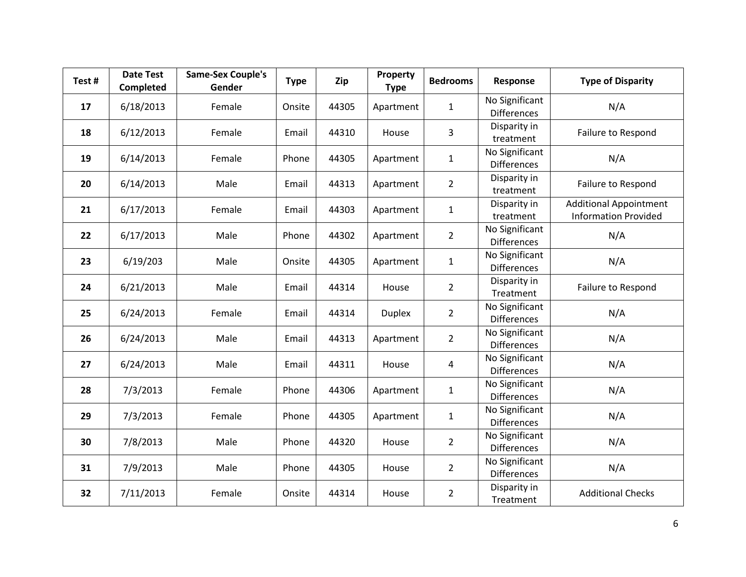| Test# | <b>Date Test</b><br>Completed | <b>Same-Sex Couple's</b><br>Gender | <b>Type</b> | Zip   | Property<br><b>Type</b> | <b>Bedrooms</b> | Response                             | <b>Type of Disparity</b>                                     |
|-------|-------------------------------|------------------------------------|-------------|-------|-------------------------|-----------------|--------------------------------------|--------------------------------------------------------------|
| 17    | 6/18/2013                     | Female                             | Onsite      | 44305 | Apartment               | $\mathbf{1}$    | No Significant<br><b>Differences</b> | N/A                                                          |
| 18    | 6/12/2013                     | Female                             | Email       | 44310 | House                   | 3               | Disparity in<br>treatment            | Failure to Respond                                           |
| 19    | 6/14/2013                     | Female                             | Phone       | 44305 | Apartment               | $\mathbf{1}$    | No Significant<br><b>Differences</b> | N/A                                                          |
| 20    | 6/14/2013                     | Male                               | Email       | 44313 | Apartment               | $\overline{2}$  | Disparity in<br>treatment            | Failure to Respond                                           |
| 21    | 6/17/2013                     | Female                             | Email       | 44303 | Apartment               | $\mathbf{1}$    | Disparity in<br>treatment            | <b>Additional Appointment</b><br><b>Information Provided</b> |
| 22    | 6/17/2013                     | Male                               | Phone       | 44302 | Apartment               | $\overline{2}$  | No Significant<br><b>Differences</b> | N/A                                                          |
| 23    | 6/19/203                      | Male                               | Onsite      | 44305 | Apartment               | $\mathbf{1}$    | No Significant<br><b>Differences</b> | N/A                                                          |
| 24    | 6/21/2013                     | Male                               | Email       | 44314 | House                   | $\overline{2}$  | Disparity in<br>Treatment            | Failure to Respond                                           |
| 25    | 6/24/2013                     | Female                             | Email       | 44314 | <b>Duplex</b>           | $\overline{2}$  | No Significant<br><b>Differences</b> | N/A                                                          |
| 26    | 6/24/2013                     | Male                               | Email       | 44313 | Apartment               | $\overline{2}$  | No Significant<br><b>Differences</b> | N/A                                                          |
| 27    | 6/24/2013                     | Male                               | Email       | 44311 | House                   | 4               | No Significant<br><b>Differences</b> | N/A                                                          |
| 28    | 7/3/2013                      | Female                             | Phone       | 44306 | Apartment               | $\mathbf{1}$    | No Significant<br><b>Differences</b> | N/A                                                          |
| 29    | 7/3/2013                      | Female                             | Phone       | 44305 | Apartment               | $\mathbf{1}$    | No Significant<br><b>Differences</b> | N/A                                                          |
| 30    | 7/8/2013                      | Male                               | Phone       | 44320 | House                   | $\overline{2}$  | No Significant<br>Differences        | N/A                                                          |
| 31    | 7/9/2013                      | Male                               | Phone       | 44305 | House                   | $\overline{2}$  | No Significant<br><b>Differences</b> | N/A                                                          |
| 32    | 7/11/2013                     | Female                             | Onsite      | 44314 | House                   | $\overline{2}$  | Disparity in<br>Treatment            | <b>Additional Checks</b>                                     |